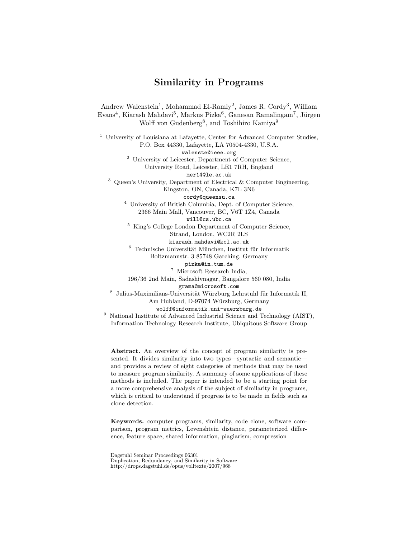# Similarity in Programs

Andrew Walenstein<sup>1</sup>, Mohammad El-Ramly<sup>2</sup>, James R. Cordy<sup>3</sup>, William Evans<sup>4</sup>, Kiarash Mahdavi<sup>5</sup>, Markus Pizka<sup>6</sup>, Ganesan Ramalingam<sup>7</sup>, Jürgen Wolff von Gudenberg<sup>8</sup>, and Toshihiro Kamiya<sup>9</sup>

<sup>1</sup> University of Louisiana at Lafayette, Center for Advanced Computer Studies, P.O. Box 44330, Lafayette, LA 70504-4330, U.S.A.

walenste@ieee.org

<sup>2</sup> University of Leicester, Department of Computer Science, University Road, Leicester, LE1 7RH, England

mer14@le.ac.uk

 $3$  Queen's University, Department of Electrical & Computer Engineering, Kingston, ON, Canada, K7L 3N6

cordy@queensu.ca

<sup>4</sup> University of British Columbia, Dept. of Computer Science, 2366 Main Mall, Vancouver, BC, V6T 1Z4, Canada

will@cs.ubc.ca

<sup>5</sup> King's College London Department of Computer Science, Strand, London, WC2R 2LS kiarash.mahdavi@kcl.ac.uk

 $^6$  Technische Universität München, Institut für Informatik Boltzmannstr. 3 85748 Garching, Germany

pizka@in.tum.de

<sup>7</sup> Microsoft Research India,

196/36 2nd Main, Sadashivnagar, Bangalore 560 080, India

grama@microsoft.com

 $^8$  Julius-Maximilians-Universität Würzburg Lehrstuhl für Informatik II, Am Hubland, D-97074 Würzburg, Germany

wolff@informatik.uni-wuerzburg.de

<sup>9</sup> National Institute of Advanced Industrial Science and Technology (AIST), Information Technology Research Institute, Ubiquitous Software Group

Abstract. An overview of the concept of program similarity is presented. It divides similarity into two types—syntactic and semantic and provides a review of eight categories of methods that may be used to measure program similarity. A summary of some applications of these methods is included. The paper is intended to be a starting point for a more comprehensive analysis of the subject of similarity in programs, which is critical to understand if progress is to be made in fields such as clone detection.

Keywords. computer programs, similarity, code clone, software comparison, program metrics, Levenshtein distance, parameterized difference, feature space, shared information, plagiarism, compression

Dagstuhl Seminar Proceedings 06301 Duplication, Redundancy, and Similarity in Software http://drops.dagstuhl.de/opus/volltexte/2007/968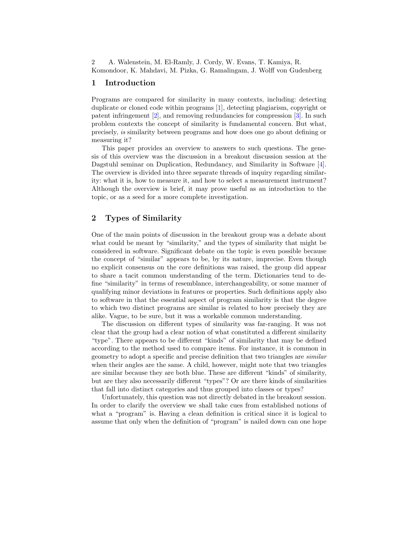### 1 Introduction

Programs are compared for similarity in many contexts, including: detecting duplicate or cloned code within programs [\[1\]](#page-6-0), detecting plagiarism, copyright or patent infringement [\[2\]](#page-6-1), and removing redundancies for compression [\[3\]](#page-6-2). In such problem contexts the concept of similarity is fundamental concern. But what, precisely, is similarity between programs and how does one go about defining or measuring it?

This paper provides an overview to answers to such questions. The genesis of this overview was the discussion in a breakout discussion session at the Dagstuhl seminar on Duplication, Redundancy, and Similarity in Software [\[4\]](#page-6-3). The overview is divided into three separate threads of inquiry regarding similarity: what it is, how to measure it, and how to select a measurement instrument? Although the overview is brief, it may prove useful as an introduction to the topic, or as a seed for a more complete investigation.

# 2 Types of Similarity

One of the main points of discussion in the breakout group was a debate about what could be meant by "similarity," and the types of similarity that might be considered in software. Significant debate on the topic is even possible because the concept of "similar" appears to be, by its nature, imprecise. Even though no explicit consensus on the core definitions was raised, the group did appear to share a tacit common understanding of the term. Dictionaries tend to define "similarity" in terms of resemblance, interchangeability, or some manner of qualifying minor deviations in features or properties. Such definitions apply also to software in that the essential aspect of program similarity is that the degree to which two distinct programs are similar is related to how precisely they are alike. Vague, to be sure, but it was a workable common understanding.

The discussion on different types of similarity was far-ranging. It was not clear that the group had a clear notion of what constituted a different similarity "type". There appears to be different "kinds" of similarity that may be defined according to the method used to compare items. For instance, it is common in geometry to adopt a specific and precise definition that two triangles are similar when their angles are the same. A child, however, might note that two triangles are similar because they are both blue. These are different "kinds" of similarity, but are they also necessarily different "types"? Or are there kinds of similarities that fall into distinct categories and thus grouped into classes or types?

Unfortunately, this question was not directly debated in the breakout session. In order to clarify the overview we shall take cues from established notions of what a "program" is. Having a clean definition is critical since it is logical to assume that only when the definition of "program" is nailed down can one hope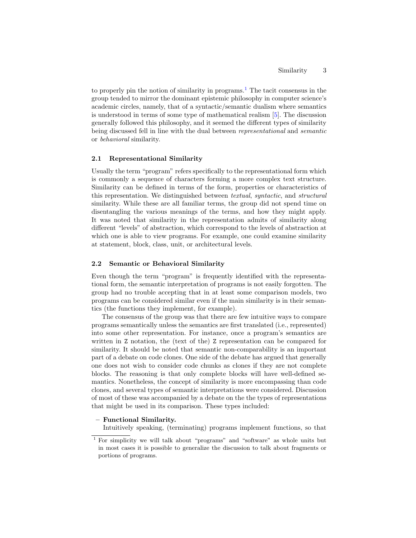to properly pin the notion of similarity in programs.<sup>[1](#page-2-0)</sup> The tacit consensus in the group tended to mirror the dominant epistemic philosophy in computer science's academic circles, namely, that of a syntactic/semantic dualism where semantics is understood in terms of some type of mathematical realism [\[5\]](#page-6-4). The discussion generally followed this philosophy, and it seemed the different types of similarity being discussed fell in line with the dual between representational and semantic or behavioral similarity.

#### 2.1 Representational Similarity

Usually the term "program" refers specifically to the representational form which is commonly a sequence of characters forming a more complex text structure. Similarity can be defined in terms of the form, properties or characteristics of this representation. We distinguished between textual, syntactic, and structural similarity. While these are all familiar terms, the group did not spend time on disentangling the various meanings of the terms, and how they might apply. It was noted that similarity in the representation admits of similarity along different "levels" of abstraction, which correspond to the levels of abstraction at which one is able to view programs. For example, one could examine similarity at statement, block, class, unit, or architectural levels.

### 2.2 Semantic or Behavioral Similarity

Even though the term "program" is frequently identified with the representational form, the semantic interpretation of programs is not easily forgotten. The group had no trouble accepting that in at least some comparison models, two programs can be considered similar even if the main similarity is in their semantics (the functions they implement, for example).

The consensus of the group was that there are few intuitive ways to compare programs semantically unless the semantics are first translated (i.e., represented) into some other representation. For instance, once a program's semantics are written in Z notation, the (text of the) Z representation can be compared for similarity. It should be noted that semantic non-comparability is an important part of a debate on code clones. One side of the debate has argued that generally one does not wish to consider code chunks as clones if they are not complete blocks. The reasoning is that only complete blocks will have well-defined semantics. Nonetheless, the concept of similarity is more encompassing than code clones, and several types of semantic interpretations were considered. Discussion of most of these was accompanied by a debate on the the types of representations that might be used in its comparison. These types included:

#### – Functional Similarity.

Intuitively speaking, (terminating) programs implement functions, so that

<span id="page-2-0"></span><sup>1</sup> For simplicity we will talk about "programs" and "software" as whole units but in most cases it is possible to generalize the discussion to talk about fragments or portions of programs.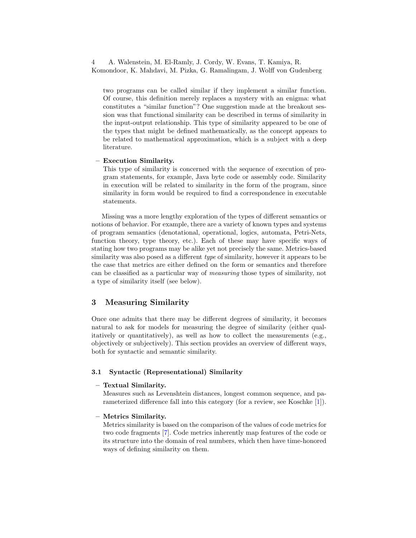two programs can be called similar if they implement a similar function. Of course, this definition merely replaces a mystery with an enigma: what constitutes a "similar function"? One suggestion made at the breakout session was that functional similarity can be described in terms of similarity in the input-output relationship. This type of similarity appeared to be one of the types that might be defined mathematically, as the concept appears to be related to mathematical approximation, which is a subject with a deep literature.

### – Execution Similarity.

This type of similarity is concerned with the sequence of execution of program statements, for example, Java byte code or assembly code. Similarity in execution will be related to similarity in the form of the program, since similarity in form would be required to find a correspondence in executable statements.

Missing was a more lengthy exploration of the types of different semantics or notions of behavior. For example, there are a variety of known types and systems of program semantics (denotational, operational, logics, automata, Petri-Nets, function theory, type theory, etc.). Each of these may have specific ways of stating how two programs may be alike yet not precisely the same. Metrics-based similarity was also posed as a different *type* of similarity, however it appears to be the case that metrics are either defined on the form or semantics and therefore can be classified as a particular way of measuring those types of similarity, not a type of similarity itself (see below).

# 3 Measuring Similarity

Once one admits that there may be different degrees of similarity, it becomes natural to ask for models for measuring the degree of similarity (either qualitatively or quantitatively), as well as how to collect the measurements (e.g., objectively or subjectively). This section provides an overview of different ways, both for syntactic and semantic similarity.

### 3.1 Syntactic (Representational) Similarity

### – Textual Similarity.

Measures such as Levenshtein distances, longest common sequence, and parameterized difference fall into this category (for a review, see Koschke [\[1\]](#page-6-0)).

#### – Metrics Similarity.

Metrics similarity is based on the comparison of the values of code metrics for two code fragments [\[7\]](#page-6-5). Code metrics inherently map features of the code or its structure into the domain of real numbers, which then have time-honored ways of defining similarity on them.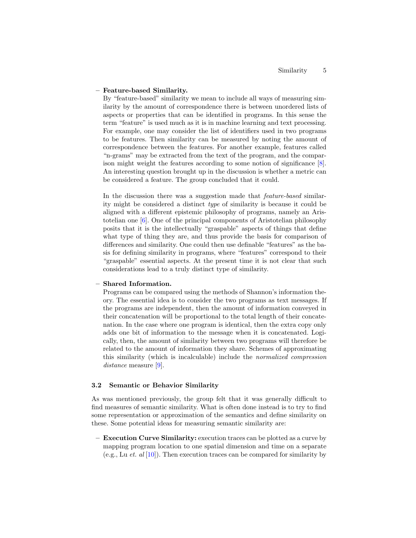#### – Feature-based Similarity.

By "feature-based" similarity we mean to include all ways of measuring similarity by the amount of correspondence there is between unordered lists of aspects or properties that can be identified in programs. In this sense the term "feature" is used much as it is in machine learning and text processing. For example, one may consider the list of identifiers used in two programs to be features. Then similarity can be measured by noting the amount of correspondence between the features. For another example, features called "n-grams" may be extracted from the text of the program, and the comparison might weight the features according to some notion of significance [\[8\]](#page-7-0). An interesting question brought up in the discussion is whether a metric can be considered a feature. The group concluded that it could.

In the discussion there was a suggestion made that *feature-based* similarity might be considered a distinct type of similarity is because it could be aligned with a different epistemic philosophy of programs, namely an Aristotelian one [\[6\]](#page-6-6). One of the principal components of Aristotelian philosophy posits that it is the intellectually "graspable" aspects of things that define what type of thing they are, and thus provide the basis for comparison of differences and similarity. One could then use definable "features" as the basis for defining similarity in programs, where "features" correspond to their "graspable" essential aspects. At the present time it is not clear that such considerations lead to a truly distinct type of similarity.

#### – Shared Information.

Programs can be compared using the methods of Shannon's information theory. The essential idea is to consider the two programs as text messages. If the programs are independent, then the amount of information conveyed in their concatenation will be proportional to the total length of their concatenation. In the case where one program is identical, then the extra copy only adds one bit of information to the message when it is concatenated. Logically, then, the amount of similarity between two programs will therefore be related to the amount of information they share. Schemes of approximating this similarity (which is incalculable) include the normalized compression distance measure [\[9\]](#page-7-1).

#### 3.2 Semantic or Behavior Similarity

As was mentioned previously, the group felt that it was generally difficult to find measures of semantic similarity. What is often done instead is to try to find some representation or approximation of the semantics and define similarity on these. Some potential ideas for measuring semantic similarity are:

– Execution Curve Similarity: execution traces can be plotted as a curve by mapping program location to one spatial dimension and time on a separate (e.g., Lu et. al  $[10]$ ). Then execution traces can be compared for similarity by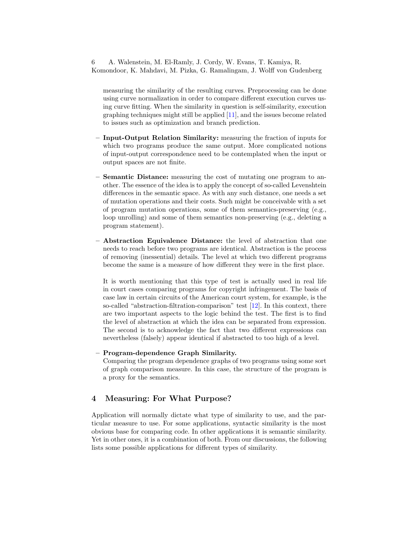measuring the similarity of the resulting curves. Preprocessing can be done using curve normalization in order to compare different execution curves using curve fitting. When the similarity in question is self-similarity, execution graphing techniques might still be applied [\[11\]](#page-7-3), and the issues become related to issues such as optimization and branch prediction.

- Input-Output Relation Similarity: measuring the fraction of inputs for which two programs produce the same output. More complicated notions of input-output correspondence need to be contemplated when the input or output spaces are not finite.
- Semantic Distance: measuring the cost of mutating one program to another. The essence of the idea is to apply the concept of so-called Levenshtein differences in the semantic space. As with any such distance, one needs a set of mutation operations and their costs. Such might be conceivable with a set of program mutation operations, some of them semantics-preserving (e.g., loop unrolling) and some of them semantics non-preserving (e.g., deleting a program statement).
- Abstraction Equivalence Distance: the level of abstraction that one needs to reach before two programs are identical. Abstraction is the process of removing (inessential) details. The level at which two different programs become the same is a measure of how different they were in the first place.

It is worth mentioning that this type of test is actually used in real life in court cases comparing programs for copyright infringement. The basis of case law in certain circuits of the American court system, for example, is the so-called "abstraction-filtration-comparison" test [\[12\]](#page-7-4). In this context, there are two important aspects to the logic behind the test. The first is to find the level of abstraction at which the idea can be separated from expression. The second is to acknowledge the fact that two different expressions can nevertheless (falsely) appear identical if abstracted to too high of a level.

### – Program-dependence Graph Similarity.

Comparing the program dependence graphs of two programs using some sort of graph comparison measure. In this case, the structure of the program is a proxy for the semantics.

# 4 Measuring: For What Purpose?

Application will normally dictate what type of similarity to use, and the particular measure to use. For some applications, syntactic similarity is the most obvious base for comparing code. In other applications it is semantic similarity. Yet in other ones, it is a combination of both. From our discussions, the following lists some possible applications for different types of similarity.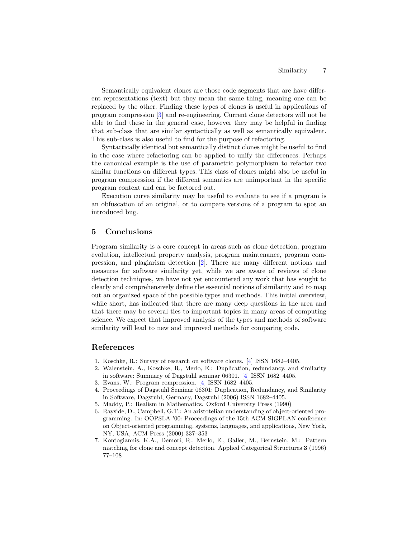Semantically equivalent clones are those code segments that are have different representations (text) but they mean the same thing, meaning one can be replaced by the other. Finding these types of clones is useful in applications of program compression [\[3\]](#page-6-2) and re-engineering. Current clone detectors will not be able to find these in the general case, however they may be helpful in finding that sub-class that are similar syntactically as well as semantically equivalent. This sub-class is also useful to find for the purpose of refactoring.

Syntactically identical but semantically distinct clones might be useful to find in the case where refactoring can be applied to unify the differences. Perhaps the canonical example is the use of parametric polymorphism to refactor two similar functions on different types. This class of clones might also be useful in program compression if the different semantics are unimportant in the specific program context and can be factored out.

Execution curve similarity may be useful to evaluate to see if a program is an obfuscation of an original, or to compare versions of a program to spot an introduced bug.

### 5 Conclusions

Program similarity is a core concept in areas such as clone detection, program evolution, intellectual property analysis, program maintenance, program compression, and plagiarism detection [\[2\]](#page-6-1). There are many different notions and measures for software similarity yet, while we are aware of reviews of clone detection techniques, we have not yet encountered any work that has sought to clearly and comprehensively define the essential notions of similarity and to map out an organized space of the possible types and methods. This initial overview, while short, has indicated that there are many deep questions in the area and that there may be several ties to important topics in many areas of computing science. We expect that improved analysis of the types and methods of software similarity will lead to new and improved methods for comparing code.

### References

- <span id="page-6-0"></span>1. Koschke, R.: Survey of research on software clones. [\[4\]](#page-6-3) ISSN 1682–4405.
- <span id="page-6-1"></span>2. Walenstein, A., Koschke, R., Merlo, E.: Duplication, redundancy, and similarity in software: Summary of Dagstuhl seminar 06301. [\[4\]](#page-6-3) ISSN 1682–4405.
- <span id="page-6-2"></span>3. Evans, W.: Program compression. [\[4\]](#page-6-3) ISSN 1682–4405.
- <span id="page-6-3"></span>4. Proceedings of Dagstuhl Seminar 06301: Duplication, Redundancy, and Similarity in Software, Dagstuhl, Germany, Dagstuhl (2006) ISSN 1682–4405.
- <span id="page-6-4"></span>5. Maddy, P.: Realism in Mathematics. Oxford University Press (1990)
- <span id="page-6-6"></span>6. Rayside, D., Campbell, G.T.: An aristotelian understanding of object-oriented programming. In: OOPSLA '00: Proceedings of the 15th ACM SIGPLAN conference on Object-oriented programming, systems, languages, and applications, New York, NY, USA, ACM Press (2000) 337–353
- <span id="page-6-5"></span>7. Kontogiannis, K.A., Demori, R., Merlo, E., Galler, M., Bernstein, M.: Pattern matching for clone and concept detection. Applied Categorical Structures 3 (1996) 77–108